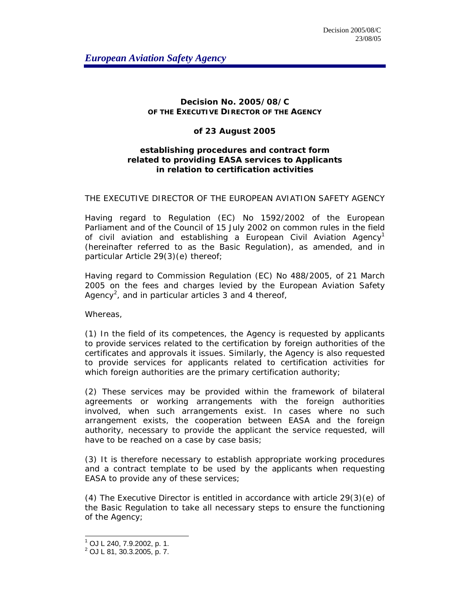## **Decision No. 2005/08/C OF THE EXECUTIVE DIRECTOR OF THE AGENCY**

## **of 23 August 2005**

## **establishing procedures and contract form related to providing EASA services to Applicants in relation to certification activities**

## THE EXECUTIVE DIRECTOR OF THE EUROPEAN AVIATION SAFETY AGENCY

Having regard to Regulation (EC) No 1592/2002 of the European Parliament and of the Council of 15 July 2002 on common rules in the field of civil aviation and establishing a European Civil Aviation Agency<sup>1</sup> (hereinafter referred to as the Basic Regulation), as amended, and in particular Article 29(3)(e) thereof;

Having regard to Commission Regulation (EC) No 488/2005, of 21 March 2005 on the fees and charges levied by the European Aviation Safety Agency<sup>2</sup>, and in particular articles 3 and 4 thereof,

Whereas,

(1) In the field of its competences, the Agency is requested by applicants to provide services related to the certification by foreign authorities of the certificates and approvals it issues. Similarly, the Agency is also requested to provide services for applicants related to certification activities for which foreign authorities are the primary certification authority;

(2) These services may be provided within the framework of bilateral agreements or working arrangements with the foreign authorities involved, when such arrangements exist. In cases where no such arrangement exists, the cooperation between EASA and the foreign authority, necessary to provide the applicant the service requested, will have to be reached on a case by case basis;

(3) It is therefore necessary to establish appropriate working procedures and a contract template to be used by the applicants when requesting EASA to provide any of these services;

(4) The Executive Director is entitled in accordance with article 29(3)(e) of the Basic Regulation to take all necessary steps to ensure the functioning of the Agency;

 1 OJ L 240, 7.9.2002, p. 1.

 $2$  OJ L 81, 30.3.2005, p. 7.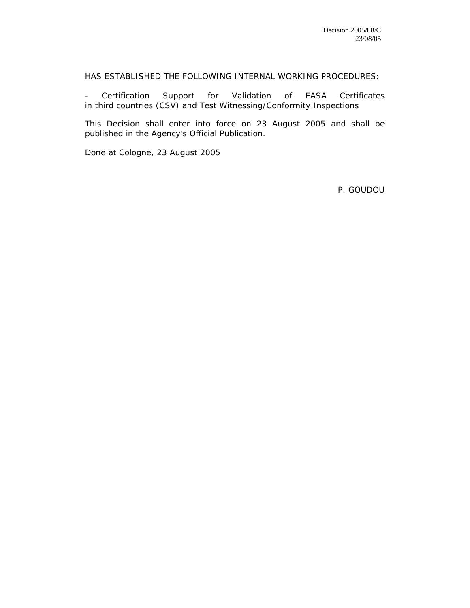HAS ESTABLISHED THE FOLLOWING INTERNAL WORKING PROCEDURES:

- Certification Support for Validation of EASA Certificates in third countries (CSV) and Test Witnessing/Conformity Inspections

This Decision shall enter into force on 23 August 2005 and shall be published in the Agency's Official Publication.

Done at Cologne, 23 August 2005

P. GOUDOU